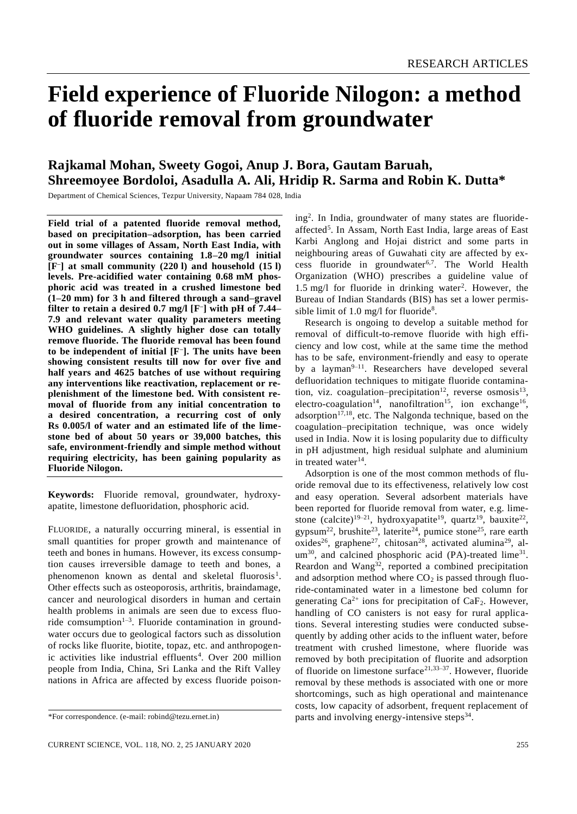# **Field experience of Fluoride Nilogon: a method of fluoride removal from groundwater**

# **Rajkamal Mohan, Sweety Gogoi, Anup J. Bora, Gautam Baruah, Shreemoyee Bordoloi, Asadulla A. Ali, Hridip R. Sarma and Robin K. Dutta\***

Department of Chemical Sciences, Tezpur University, Napaam 784 028, India

**Field trial of a patented fluoride removal method, based on precipitation–adsorption, has been carried out in some villages of Assam, North East India, with groundwater sources containing 1.8–20 mg/l initial [F– ] at small community (220 l) and household (15 l) levels. Pre-acidified water containing 0.68 mM phosphoric acid was treated in a crushed limestone bed (1–20 mm) for 3 h and filtered through a sand–gravel filter to retain a desired 0.7 mg/l [F– ] with pH of 7.44– 7.9 and relevant water quality parameters meeting WHO guidelines. A slightly higher dose can totally remove fluoride. The fluoride removal has been found to be independent of initial [F– ]. The units have been showing consistent results till now for over five and half years and 4625 batches of use without requiring any interventions like reactivation, replacement or replenishment of the limestone bed. With consistent removal of fluoride from any initial concentration to a desired concentration, a recurring cost of only Rs 0.005/l of water and an estimated life of the limestone bed of about 50 years or 39,000 batches, this safe, environment-friendly and simple method without requiring electricity, has been gaining popularity as Fluoride Nilogon.**

**Keywords:** Fluoride removal, groundwater, hydroxyapatite, limestone defluoridation, phosphoric acid.

FLUORIDE, a naturally occurring mineral, is essential in small quantities for proper growth and maintenance of teeth and bones in humans. However, its excess consumption causes irreversible damage to teeth and bones, a phenomenon known as dental and skeletal fluorosis<sup>1</sup>. Other effects such as osteoporosis, arthritis, braindamage, cancer and neurological disorders in human and certain health problems in animals are seen due to excess fluoride comsumption<sup>1-3</sup>. Fluoride contamination in groundwater occurs due to geological factors such as dissolution of rocks like fluorite, biotite, topaz, etc. and anthropogenic activities like industrial effluents<sup>4</sup>. Over 200 million people from India, China, Sri Lanka and the Rift Valley nations in Africa are affected by excess fluoride poison-

ing<sup>2</sup> . In India, groundwater of many states are fluorideaffected<sup>5</sup>. In Assam, North East India, large areas of East Karbi Anglong and Hojai district and some parts in neighbouring areas of Guwahati city are affected by excess fluoride in groundwater<sup>6,7</sup>. The World Health Organization (WHO) prescribes a guideline value of  $1.5 \text{ mg/l}$  for fluoride in drinking water<sup>2</sup>. However, the Bureau of Indian Standards (BIS) has set a lower permissible limit of 1.0 mg/l for fluoride<sup>8</sup>.

Research is ongoing to develop a suitable method for removal of difficult-to-remove fluoride with high efficiency and low cost, while at the same time the method has to be safe, environment-friendly and easy to operate by a layman<sup>9-11</sup>. Researchers have developed several defluoridation techniques to mitigate fluoride contamination, viz. coagulation–precipitation<sup>12</sup>, reverse osmosis<sup>13</sup>, electro-coagulation<sup>14</sup>, nanofiltration<sup>15</sup>, ion exchange<sup>16</sup>, adsorption<sup>17,18</sup>, etc. The Nalgonda technique, based on the coagulation–precipitation technique, was once widely used in India. Now it is losing popularity due to difficulty in pH adjustment, high residual sulphate and aluminium in treated water<sup>14</sup>.

Adsorption is one of the most common methods of fluoride removal due to its effectiveness, relatively low cost and easy operation. Several adsorbent materials have been reported for fluoride removal from water, e.g. limestone (calcite)<sup>19-21</sup>, hydroxyapatite<sup>19</sup>, quartz<sup>19</sup>, bauxite<sup>22</sup>, gypsum<sup>22</sup>, brushite<sup>23</sup>, laterite<sup>24</sup>, pumice stone<sup>25</sup>, rare earth oxides<sup>26</sup>, graphene<sup>27</sup>, chitosan<sup>28</sup>, activated alumina<sup>29</sup>, al $um^{30}$ , and calcined phosphoric acid (PA)-treated lime<sup>31</sup>. Reardon and Wang<sup>32</sup>, reported a combined precipitation and adsorption method where  $CO<sub>2</sub>$  is passed through fluoride-contaminated water in a limestone bed column for generating  $Ca^{2+}$  ions for precipitation of  $CaF_2$ . However, handling of CO canisters is not easy for rural applications. Several interesting studies were conducted subsequently by adding other acids to the influent water, before treatment with crushed limestone, where fluoride was removed by both precipitation of fluorite and adsorption of fluoride on limestone surface<sup>21,33–37</sup>. However, fluoride removal by these methods is associated with one or more shortcomings, such as high operational and maintenance costs, low capacity of adsorbent, frequent replacement of parts and involving energy-intensive steps<sup>34</sup>.

<sup>\*</sup>For correspondence. (e-mail: robind@tezu.ernet.in)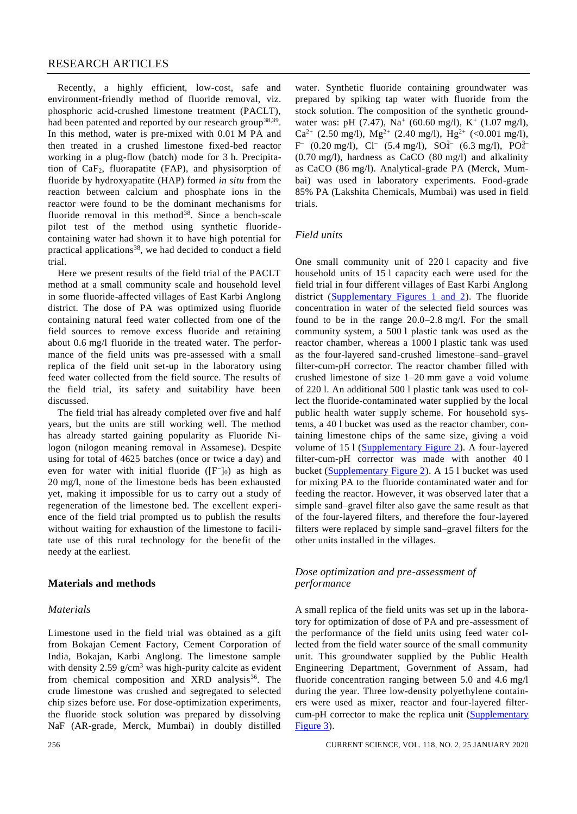# RESEARCH ARTICLES

Recently, a highly efficient, low-cost, safe and environment-friendly method of fluoride removal, viz. phosphoric acid-crushed limestone treatment (PACLT), had been patented and reported by our research group<sup>38,39</sup>. In this method, water is pre-mixed with 0.01 M PA and then treated in a crushed limestone fixed-bed reactor working in a plug-flow (batch) mode for 3 h. Precipitation of  $CaF<sub>2</sub>$ , fluorapatite (FAP), and physisorption of fluoride by hydroxyapatite (HAP) formed *in situ* from the reaction between calcium and phosphate ions in the reactor were found to be the dominant mechanisms for fluoride removal in this method<sup>38</sup>. Since a bench-scale pilot test of the method using synthetic fluoridecontaining water had shown it to have high potential for practical applications<sup>38</sup>, we had decided to conduct a field trial.

Here we present results of the field trial of the PACLT method at a small community scale and household level in some fluoride-affected villages of East Karbi Anglong district. The dose of PA was optimized using fluoride containing natural feed water collected from one of the field sources to remove excess fluoride and retaining about 0.6 mg/l fluoride in the treated water. The performance of the field units was pre-assessed with a small replica of the field unit set-up in the laboratory using feed water collected from the field source. The results of the field trial, its safety and suitability have been discussed.

The field trial has already completed over five and half years, but the units are still working well. The method has already started gaining popularity as Fluoride Nilogon (nilogon meaning removal in Assamese). Despite using for total of 4625 batches (once or twice a day) and even for water with initial fluoride  $([F^-]_0)$  as high as 20 mg/l, none of the limestone beds has been exhausted yet, making it impossible for us to carry out a study of regeneration of the limestone bed. The excellent experience of the field trial prompted us to publish the results without waiting for exhaustion of the limestone to facilitate use of this rural technology for the benefit of the needy at the earliest.

## **Materials and methods**

#### *Materials*

Limestone used in the field trial was obtained as a gift from Bokajan Cement Factory, Cement Corporation of India, Bokajan, Karbi Anglong. The limestone sample with density 2.59 g/cm<sup>3</sup> was high-purity calcite as evident from chemical composition and XRD analysis<sup>36</sup>. The crude limestone was crushed and segregated to selected chip sizes before use. For dose-optimization experiments, the fluoride stock solution was prepared by dissolving NaF (AR-grade, Merck, Mumbai) in doubly distilled

water. Synthetic fluoride containing groundwater was prepared by spiking tap water with fluoride from the stock solution. The composition of the synthetic groundwater was: pH (7.47), Na<sup>+</sup> (60.60 mg/l), K<sup>+</sup> (1.07 mg/l), Ca<sup>2+</sup> (2.50 mg/l), Mg<sup>2+</sup> (2.40 mg/l), Hg<sup>2+</sup> (<0.001 mg/l),  $F^{-}$  (0.20 mg/l),  $Cl^{-}$  (5.4 mg/l),  $SO_4^{2-}$  (6.3 mg/l),  $PO_4^{3-}$ (0.70 mg/l), hardness as CaCO (80 mg/l) and alkalinity as CaCO (86 mg/l). Analytical-grade PA (Merck, Mumbai) was used in laboratory experiments. Food-grade 85% PA (Lakshita Chemicals, Mumbai) was used in field trials.

#### *Field units*

One small community unit of 220 l capacity and five household units of 15 l capacity each were used for the field trial in four different villages of East Karbi Anglong district [\(Supplementary Figures 1 and 2\)](https://www.currentscience.ac.in/Volumes/118/02/0255-suppl.pdf). The fluoride concentration in water of the selected field sources was found to be in the range 20.0–2.8 mg/l. For the small community system, a 500 l plastic tank was used as the reactor chamber, whereas a 1000 l plastic tank was used as the four-layered sand-crushed limestone–sand–gravel filter-cum-pH corrector. The reactor chamber filled with crushed limestone of size 1–20 mm gave a void volume of 220 l. An additional 500 l plastic tank was used to collect the fluoride-contaminated water supplied by the local public health water supply scheme. For household systems, a 40 l bucket was used as the reactor chamber, containing limestone chips of the same size, giving a void volume of 15 l [\(Supplementary Figure 2\)](https://www.currentscience.ac.in/Volumes/118/02/0255-suppl.pdf). A four-layered filter-cum-pH corrector was made with another 40 l bucket [\(Supplementary Figure 2\)](https://www.currentscience.ac.in/Volumes/118/02/0255-suppl.pdf). A 15 l bucket was used for mixing PA to the fluoride contaminated water and for feeding the reactor. However, it was observed later that a simple sand–gravel filter also gave the same result as that of the four-layered filters, and therefore the four-layered filters were replaced by simple sand–gravel filters for the other units installed in the villages.

# *Dose optimization and pre-assessment of performance*

A small replica of the field units was set up in the laboratory for optimization of dose of PA and pre-assessment of the performance of the field units using feed water collected from the field water source of the small community unit. This groundwater supplied by the Public Health Engineering Department, Government of Assam, had fluoride concentration ranging between 5.0 and 4.6 mg/l during the year. Three low-density polyethylene containers were used as mixer, reactor and four-layered filter-cum-pH corrector to make the replica unit [\(Supplementary](https://www.currentscience.ac.in/Volumes/118/02/0255-suppl.pdf) [Figure 3\)](https://www.currentscience.ac.in/Volumes/118/02/0255-suppl.pdf).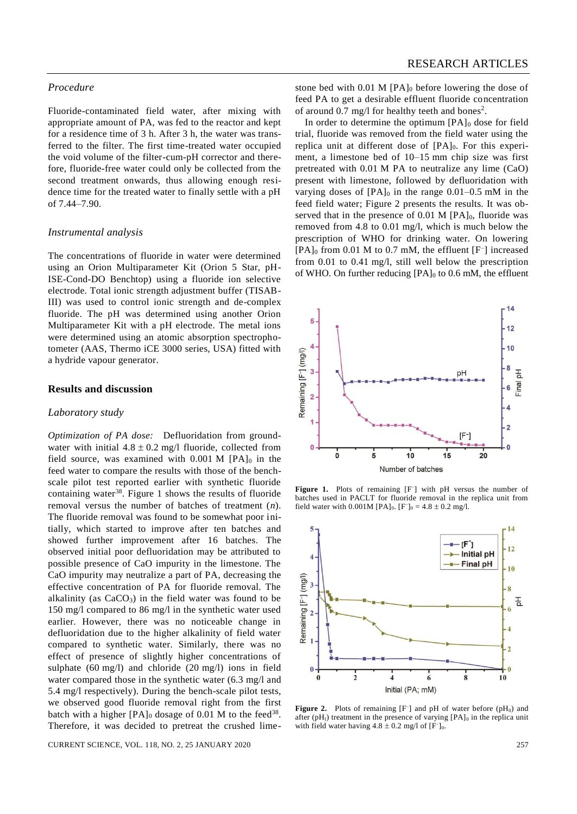# *Procedure*

Fluoride-contaminated field water, after mixing with appropriate amount of PA, was fed to the reactor and kept for a residence time of 3 h. After 3 h, the water was transferred to the filter. The first time-treated water occupied the void volume of the filter-cum-pH corrector and therefore, fluoride-free water could only be collected from the second treatment onwards, thus allowing enough residence time for the treated water to finally settle with a pH of 7.44–7.90.

#### *Instrumental analysis*

The concentrations of fluoride in water were determined using an Orion Multiparameter Kit (Orion 5 Star, pH-ISE-Cond-DO Benchtop) using a fluoride ion selective electrode. Total ionic strength adjustment buffer (TISAB-III) was used to control ionic strength and de-complex fluoride. The pH was determined using another Orion Multiparameter Kit with a pH electrode. The metal ions were determined using an atomic absorption spectrophotometer (AAS, Thermo iCE 3000 series, USA) fitted with a hydride vapour generator.

## **Results and discussion**

#### *Laboratory study*

*Optimization of PA dose:* Defluoridation from groundwater with initial  $4.8 \pm 0.2$  mg/l fluoride, collected from field source, was examined with  $0.001$  M  $[PA]_0$  in the feed water to compare the results with those of the benchscale pilot test reported earlier with synthetic fluoride containing water<sup>38</sup>. Figure 1 shows the results of fluoride removal versus the number of batches of treatment (*n*). The fluoride removal was found to be somewhat poor initially, which started to improve after ten batches and showed further improvement after 16 batches. The observed initial poor defluoridation may be attributed to possible presence of CaO impurity in the limestone. The CaO impurity may neutralize a part of PA, decreasing the effective concentration of PA for fluoride removal. The alkalinity (as  $CaCO<sub>3</sub>$ ) in the field water was found to be 150 mg/l compared to 86 mg/l in the synthetic water used earlier. However, there was no noticeable change in defluoridation due to the higher alkalinity of field water compared to synthetic water. Similarly, there was no effect of presence of slightly higher concentrations of sulphate (60 mg/l) and chloride (20 mg/l) ions in field water compared those in the synthetic water (6.3 mg/l and 5.4 mg/l respectively). During the bench-scale pilot tests, we observed good fluoride removal right from the first batch with a higher  $[PA]_0$  dosage of 0.01 M to the feed<sup>38</sup>. Therefore, it was decided to pretreat the crushed lime-

CURRENT SCIENCE, VOL. 118, NO. 2, 25 JANUARY 2020 257

stone bed with 0.01 M [PA]<sub>0</sub> before lowering the dose of feed PA to get a desirable effluent fluoride concentration of around 0.7 mg/l for healthy teeth and bones<sup>2</sup>.

In order to determine the optimum  $[PA]_0$  dose for field trial, fluoride was removed from the field water using the replica unit at different dose of [PA]<sub>0</sub>. For this experiment, a limestone bed of 10–15 mm chip size was first pretreated with 0.01 M PA to neutralize any lime (CaO) present with limestone, followed by defluoridation with varying doses of  $[PA]_0$  in the range 0.01–0.5 mM in the feed field water; Figure 2 presents the results. It was observed that in the presence of  $0.01$  M [PA]<sub>0</sub>, fluoride was removed from 4.8 to 0.01 mg/l, which is much below the prescription of WHO for drinking water. On lowering [PA]<sup>0</sup> from 0.01 M to 0.7 mM, the effluent [F<sup>-</sup>] increased from 0.01 to 0.41 mg/l, still well below the prescription of WHO. On further reducing  $[PA]_0$  to 0.6 mM, the effluent



Figure 1. Plots of remaining [F<sup>-</sup>] with pH versus the number of batches used in PACLT for fluoride removal in the replica unit from field water with  $0.001M$  [PA]<sub>0</sub>. [F<sup>-</sup>]<sub>0</sub> = 4.8 ± 0.2 mg/l.



**Figure 2.** Plots of remaining  $[F^-]$  and pH of water before  $(pH_0)$  and after (pH<sub>f</sub>) treatment in the presence of varying  $[PA]_0$  in the replica unit with field water having  $4.8 \pm 0.2$  mg/l of [F<sup>-</sup>]<sub>0</sub>.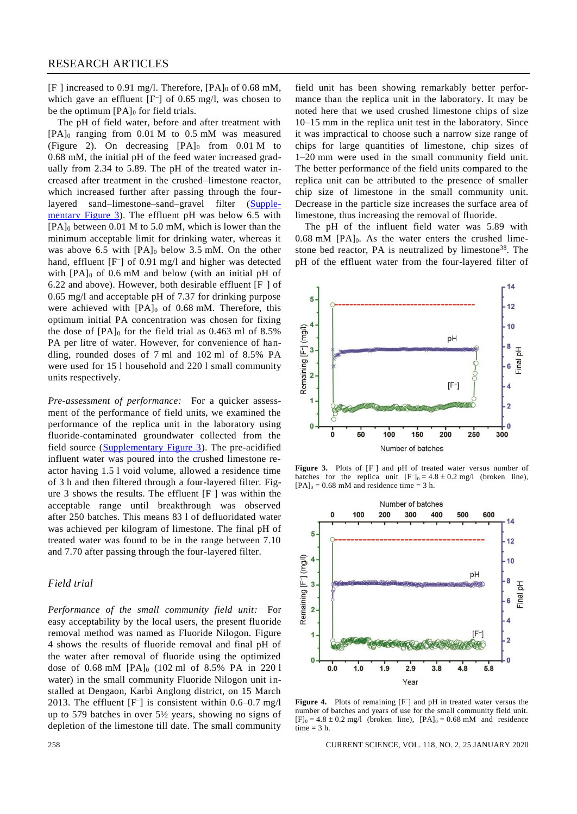[F<sup>-</sup>] increased to 0.91 mg/l. Therefore, [PA]<sub>0</sub> of 0.68 mM, which gave an effluent [F– ] of 0.65 mg/l, was chosen to be the optimum  $[PA]_0$  for field trials.

The pH of field water, before and after treatment with  $[PA]_0$  ranging from 0.01 M to 0.5 mM was measured (Figure 2). On decreasing  $[PA]_0$  from 0.01 M to 0.68 mM, the initial pH of the feed water increased gradually from 2.34 to 5.89. The pH of the treated water increased after treatment in the crushed–limestone reactor, which increased further after passing through the fourlayered sand–limestone–sand–gravel filter [\(Supple](https://www.currentscience.ac.in/Volumes/118/02/0255-suppl.pdf)[mentary Figure 3\)](https://www.currentscience.ac.in/Volumes/118/02/0255-suppl.pdf). The effluent pH was below 6.5 with  $[PA]_0$  between 0.01 M to 5.0 mM, which is lower than the minimum acceptable limit for drinking water, whereas it was above 6.5 with  $[PA]_0$  below 3.5 mM. On the other hand, effluent [F<sup>-</sup>] of 0.91 mg/l and higher was detected with  $[PA]_0$  of 0.6 mM and below (with an initial pH of 6.22 and above). However, both desirable effluent [F– ] of 0.65 mg/l and acceptable pH of 7.37 for drinking purpose were achieved with [PA]<sub>0</sub> of 0.68 mM. Therefore, this optimum initial PA concentration was chosen for fixing the dose of  $[PA]_0$  for the field trial as 0.463 ml of 8.5% PA per litre of water. However, for convenience of handling, rounded doses of 7 ml and 102 ml of 8.5% PA were used for 15 l household and 220 l small community units respectively.

*Pre-assessment of performance:* For a quicker assessment of the performance of field units, we examined the performance of the replica unit in the laboratory using fluoride-contaminated groundwater collected from the field source [\(Supplementary Figure 3\)](https://www.currentscience.ac.in/Volumes/118/02/0255-suppl.pdf). The pre-acidified influent water was poured into the crushed limestone reactor having 1.5 l void volume, allowed a residence time of 3 h and then filtered through a four-layered filter. Figure 3 shows the results. The effluent [F– ] was within the acceptable range until breakthrough was observed after 250 batches. This means 83 l of defluoridated water was achieved per kilogram of limestone. The final pH of treated water was found to be in the range between 7.10 and 7.70 after passing through the four-layered filter.

# *Field trial*

*Performance of the small community field unit:* For easy acceptability by the local users, the present fluoride removal method was named as Fluoride Nilogon. Figure 4 shows the results of fluoride removal and final pH of the water after removal of fluoride using the optimized dose of 0.68 mM [PA]<sup>0</sup> (102 ml of 8.5% PA in 220 l water) in the small community Fluoride Nilogon unit installed at Dengaon, Karbi Anglong district, on 15 March 2013. The effluent [F– ] is consistent within 0.6–0.7 mg/l up to 579 batches in over 5½ years, showing no signs of depletion of the limestone till date. The small community

field unit has been showing remarkably better performance than the replica unit in the laboratory. It may be noted here that we used crushed limestone chips of size 10–15 mm in the replica unit test in the laboratory. Since it was impractical to choose such a narrow size range of chips for large quantities of limestone, chip sizes of 1–20 mm were used in the small community field unit. The better performance of the field units compared to the replica unit can be attributed to the presence of smaller chip size of limestone in the small community unit. Decrease in the particle size increases the surface area of limestone, thus increasing the removal of fluoride.

The pH of the influent field water was 5.89 with  $0.68$  mM  $[PA]_0$ . As the water enters the crushed limestone bed reactor, PA is neutralized by limestone<sup>38</sup>. The pH of the effluent water from the four-layered filter of



Figure 3. Plots of [F<sup>-</sup>] and pH of treated water versus number of batches for the replica unit  $[F^-]_0 = 4.8 \pm 0.2$  mg/l (broken line),  $[PA]_0 = 0.68$  mM and residence time = 3 h.



Figure 4. Plots of remaining [F<sup>-</sup>] and pH in treated water versus the number of batches and years of use for the small community field unit.  $[F]_0 = 4.8 \pm 0.2$  mg/l (broken line),  $[PA]_0 = 0.68$  mM and residence time  $= 3 h$ .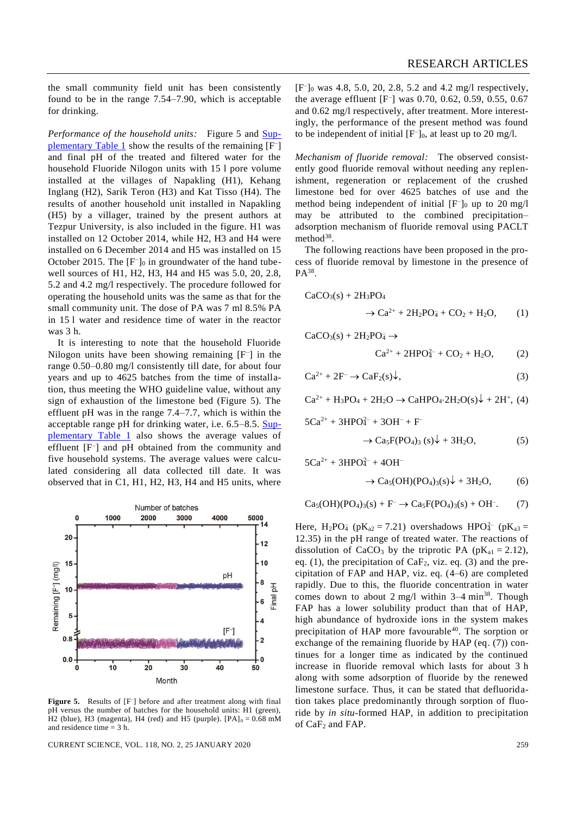the small community field unit has been consistently found to be in the range 7.54–7.90, which is acceptable for drinking.

*Performance of the household units:* Figure 5 and [Sup](https://www.currentscience.ac.in/Volumes/118/02/0255-suppl.pdf)[plementary Table 1](https://www.currentscience.ac.in/Volumes/118/02/0255-suppl.pdf) show the results of the remaining [F<sup>-</sup>] and final pH of the treated and filtered water for the household Fluoride Nilogon units with 15 l pore volume installed at the villages of Napakling (H1), Kehang Inglang (H2), Sarik Teron (H3) and Kat Tisso (H4). The results of another household unit installed in Napakling (H5) by a villager, trained by the present authors at Tezpur University, is also included in the figure. H1 was installed on 12 October 2014, while H2, H3 and H4 were installed on 6 December 2014 and H5 was installed on 15 October 2015. The [F<sup>-</sup>]<sub>0</sub> in groundwater of the hand tubewell sources of H1, H2, H3, H4 and H5 was 5.0, 20, 2.8, 5.2 and 4.2 mg/l respectively. The procedure followed for operating the household units was the same as that for the small community unit. The dose of PA was 7 ml 8.5% PA in 15 l water and residence time of water in the reactor was 3 h.

It is interesting to note that the household Fluoride Nilogon units have been showing remaining [F– ] in the range 0.50–0.80 mg/l consistently till date, for about four years and up to 4625 batches from the time of installation, thus meeting the WHO guideline value, without any sign of exhaustion of the limestone bed (Figure 5). The effluent pH was in the range 7.4–7.7, which is within the acceptable range pH for drinking water, i.e.  $6.5-8.5$ . [Sup](https://www.currentscience.ac.in/Volumes/118/02/0255-suppl.pdf)[plementary Table 1](https://www.currentscience.ac.in/Volumes/118/02/0255-suppl.pdf) also shows the average values of effluent [F– ] and pH obtained from the community and five household systems. The average values were calculated considering all data collected till date. It was observed that in C1, H1, H2, H3, H4 and H5 units, where



Figure 5. Results of [F<sup>-</sup>] before and after treatment along with final pH versus the number of batches for the household units: H1 (green), H2 (blue), H3 (magenta), H4 (red) and H5 (purple).  $[PA]_0 = 0.68$  mM and residence time  $= 3$  h.

CURRENT SCIENCE, VOL. 118, NO. 2, 25 JANUARY 2020 259

[F– ]<sup>0</sup> was 4.8, 5.0, 20, 2.8, 5.2 and 4.2 mg/l respectively, the average effluent [F– ] was 0.70, 0.62, 0.59, 0.55, 0.67 and 0.62 mg/l respectively, after treatment. More interestingly, the performance of the present method was found to be independent of initial  $[F<sub>-</sub>]_0$ , at least up to 20 mg/l.

*Mechanism of fluoride removal:* The observed consistently good fluoride removal without needing any replenishment, regeneration or replacement of the crushed limestone bed for over 4625 batches of use and the method being independent of initial  $[F<sub>-</sub>]_0$  up to 20 mg/l may be attributed to the combined precipitation– adsorption mechanism of fluoride removal using PACLT method<sup>38</sup>.

The following reactions have been proposed in the process of fluoride removal by limestone in the presence of  $PA^{38}$ .

$$
CaCO3(s) + 2H3PO4
$$
  

$$
\rightarrow Ca2+ + 2H2PO4 + CO2 + H2O,
$$
 (1)

 $CaCO<sub>3</sub>(s) + 2H<sub>2</sub>PO<sub>4</sub> \rightarrow$ 

$$
Ca^{2+} + 2HPO42- + CO2 + H2O, (2)
$$

$$
Ca^{2+} + 2F^- \to CaF_2(s)\downarrow,
$$
\n(3)

$$
Ca^{2+} + H_3PO_4 + 2H_2O \rightarrow CaHPO_4 \cdot 2H_2O(s) \downarrow + 2H^+, (4)
$$

$$
5Ca^{2+} + 3HPO4- + 3OH- + F-
$$

$$
\rightarrow \text{Ca}_5\text{F}(\text{PO}_4)_3 \text{ (s)} + 3\text{H}_2\text{O},\tag{5}
$$

 $5Ca^{2+} + 3HPO<sub>4</sub><sup>2+</sup> + 4OH<sub>-</sub>$ 

$$
\rightarrow Ca5(OH)(PO4)3(s) + 3H2O, \t(6)
$$

 $Ca_5(OH)(PO_4)_3(s) + F^- \rightarrow Ca_5F(PO_4)_3(s) + OH^-$ . (7)

Here,  $H_2PO_4^-$  (p $K_{a2} = 7.21$ ) overshadows HPO $_4^{2-}$  (p $K_{a3} =$ 12.35) in the pH range of treated water. The reactions of dissolution of CaCO<sub>3</sub> by the triprotic PA ( $pK_{a1} = 2.12$ ), eq. (1), the precipitation of  $CaF_2$ , viz. eq. (3) and the precipitation of FAP and HAP, viz. eq. (4–6) are completed rapidly. Due to this, the fluoride concentration in water comes down to about 2 mg/l within  $3-4$  min<sup>38</sup>. Though FAP has a lower solubility product than that of HAP, high abundance of hydroxide ions in the system makes precipitation of HAP more favourable<sup>40</sup>. The sorption or exchange of the remaining fluoride by HAP (eq. (7)) continues for a longer time as indicated by the continued increase in fluoride removal which lasts for about 3 h along with some adsorption of fluoride by the renewed limestone surface. Thus, it can be stated that defluoridation takes place predominantly through sorption of fluoride by *in situ*-formed HAP, in addition to precipitation of CaF<sup>2</sup> and FAP.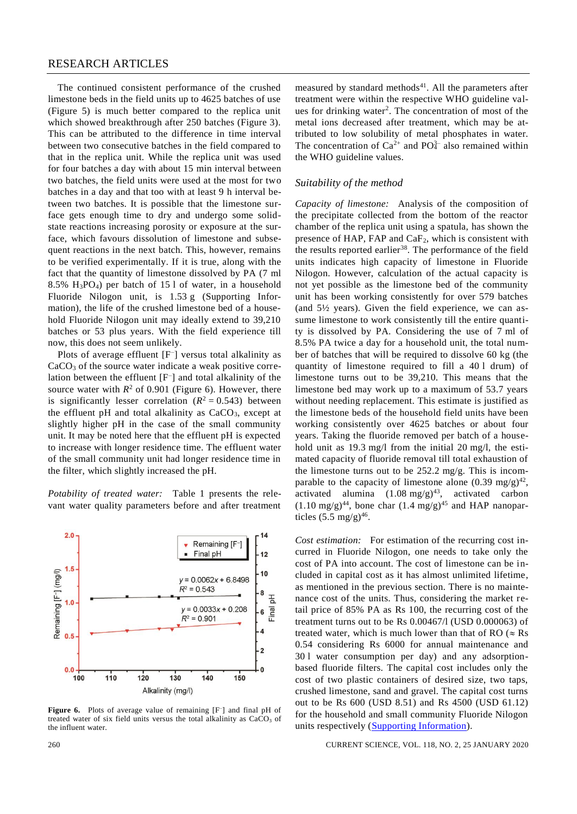# RESEARCH ARTICLES

The continued consistent performance of the crushed limestone beds in the field units up to 4625 batches of use (Figure 5) is much better compared to the replica unit which showed breakthrough after 250 batches (Figure 3). This can be attributed to the difference in time interval between two consecutive batches in the field compared to that in the replica unit. While the replica unit was used for four batches a day with about 15 min interval between two batches, the field units were used at the most for two batches in a day and that too with at least 9 h interval between two batches. It is possible that the limestone surface gets enough time to dry and undergo some solidstate reactions increasing porosity or exposure at the surface, which favours dissolution of limestone and subsequent reactions in the next batch. This, however, remains to be verified experimentally. If it is true, along with the fact that the quantity of limestone dissolved by PA (7 ml 8.5% H3PO4) per batch of 15 l of water, in a household Fluoride Nilogon unit, is 1.53 g (Supporting Information), the life of the crushed limestone bed of a household Fluoride Nilogon unit may ideally extend to 39,210 batches or 53 plus years. With the field experience till now, this does not seem unlikely.

Plots of average effluent [F<sup>-</sup>] versus total alkalinity as CaCO<sub>3</sub> of the source water indicate a weak positive correlation between the effluent [F– ] and total alkalinity of the source water with  $R^2$  of 0.901 (Figure 6). However, there is significantly lesser correlation  $(R^2 = 0.543)$  between the effluent pH and total alkalinity as  $CaCO<sub>3</sub>$ , except at slightly higher pH in the case of the small community unit. It may be noted here that the effluent pH is expected to increase with longer residence time. The effluent water of the small community unit had longer residence time in the filter, which slightly increased the pH.

*Potability of treated water:* Table 1 presents the relevant water quality parameters before and after treatment



Figure 6. Plots of average value of remaining [F<sup>-</sup>] and final pH of treated water of six field units versus the total alkalinity as CaCO<sub>3</sub> of the influent water.

measured by standard methods $41$ . All the parameters after treatment were within the respective WHO guideline values for drinking water<sup>2</sup>. The concentration of most of the metal ions decreased after treatment, which may be attributed to low solubility of metal phosphates in water. The concentration of  $Ca^{2+}$  and  $PO_4^{3-}$  also remained within the WHO guideline values.

#### *Suitability of the method*

*Capacity of limestone:* Analysis of the composition of the precipitate collected from the bottom of the reactor chamber of the replica unit using a spatula, has shown the presence of HAP, FAP and  $CaF<sub>2</sub>$ , which is consistent with the results reported earlier<sup>38</sup>. The performance of the field units indicates high capacity of limestone in Fluoride Nilogon. However, calculation of the actual capacity is not yet possible as the limestone bed of the community unit has been working consistently for over 579 batches (and  $5\frac{1}{2}$  years). Given the field experience, we can assume limestone to work consistently till the entire quantity is dissolved by PA. Considering the use of 7 ml of 8.5% PA twice a day for a household unit, the total number of batches that will be required to dissolve 60 kg (the quantity of limestone required to fill a 40 l drum) of limestone turns out to be 39,210. This means that the limestone bed may work up to a maximum of 53.7 years without needing replacement. This estimate is justified as the limestone beds of the household field units have been working consistently over 4625 batches or about four years. Taking the fluoride removed per batch of a household unit as 19.3 mg/l from the initial 20 mg/l, the estimated capacity of fluoride removal till total exhaustion of the limestone turns out to be 252.2 mg/g. This is incomparable to the capacity of limestone alone  $(0.39 \text{ mg/g})^{42}$ , activated alumina  $(1.08 \text{ mg/g})^{43}$ , activated carbon  $(1.10 \text{ mg/g})^{44}$ , bone char  $(1.4 \text{ mg/g})^{45}$  and HAP nanoparticles  $(5.5 \text{ mg/g})^{46}$ .

*Cost estimation:* For estimation of the recurring cost incurred in Fluoride Nilogon, one needs to take only the cost of PA into account. The cost of limestone can be included in capital cost as it has almost unlimited lifetime, as mentioned in the previous section. There is no maintenance cost of the units. Thus, considering the market retail price of 85% PA as Rs 100, the recurring cost of the treatment turns out to be Rs 0.00467/l (USD 0.000063) of treated water, which is much lower than that of RO ( $\approx$  Rs 0.54 considering Rs 6000 for annual maintenance and 30 l water consumption per day) and any adsorptionbased fluoride filters. The capital cost includes only the cost of two plastic containers of desired size, two taps, crushed limestone, sand and gravel. The capital cost turns out to be Rs 600 (USD 8.51) and Rs 4500 (USD 61.12) for the household and small community Fluoride Nilogon units respectively [\(Supporting Information\)](https://www.currentscience.ac.in/Volumes/118/02/0255-suppl.pdf).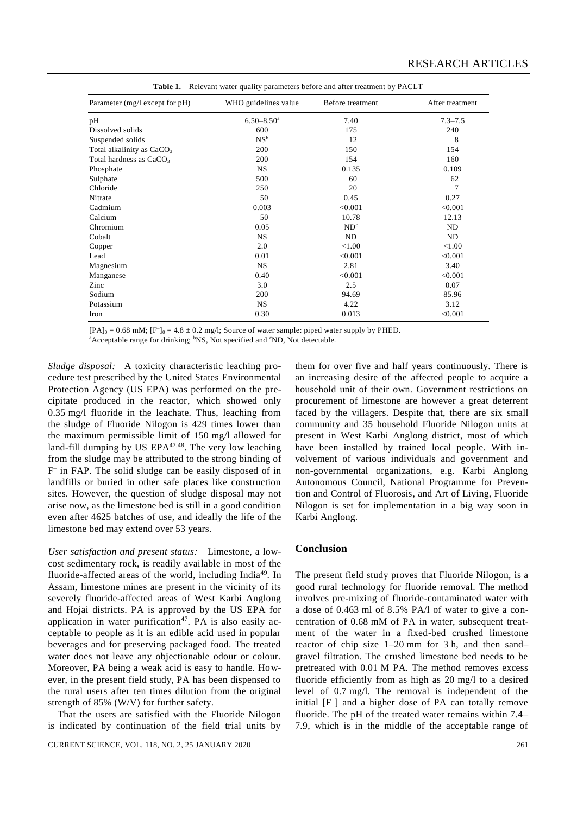| Parameter (mg/l except for pH)        | WHO guidelines value       | Before treatment | After treatment |  |
|---------------------------------------|----------------------------|------------------|-----------------|--|
| pH                                    | $6.50 - 8.50$ <sup>a</sup> | 7.40             | $7.3 - 7.5$     |  |
| Dissolved solids                      | 600                        | 175              | 240             |  |
| Suspended solids                      | NS <sup>b</sup>            | 12               | 8               |  |
| Total alkalinity as CaCO <sub>3</sub> | 200                        | 150              | 154             |  |
| Total hardness as CaCO <sub>3</sub>   | 200                        | 154              | 160             |  |
| Phosphate                             | <b>NS</b>                  | 0.135            | 0.109           |  |
| Sulphate                              | 500                        | 60               | 62              |  |
| Chloride                              | 250                        | 20               | 7               |  |
| Nitrate                               | 50                         | 0.45             | 0.27            |  |
| Cadmium                               | 0.003                      | < 0.001          | < 0.001         |  |
| Calcium                               | 50                         | 10.78            | 12.13           |  |
| Chromium                              | 0.05                       | ND <sup>c</sup>  | ND              |  |
| Cobalt                                | <b>NS</b>                  | ND               | ND              |  |
| Copper                                | 2.0                        | < 1.00           | < 1.00          |  |
| Lead                                  | 0.01                       | < 0.001          | < 0.001         |  |
| Magnesium                             | <b>NS</b>                  | 2.81             | 3.40            |  |
| Manganese                             | 0.40                       | < 0.001          | < 0.001         |  |
| Zinc                                  | 3.0                        | 2.5              | 0.07            |  |
| Sodium                                | 200                        | 94.69            | 85.96           |  |
| Potassium                             | <b>NS</b>                  | 4.22             | 3.12            |  |
| Iron                                  | 0.30                       | 0.013            | < 0.001         |  |

**Table 1.** Relevant water quality parameters before and after treatment by PACLT

 $[PA]_0 = 0.68$  mM;  $[F^-]_0 = 4.8 \pm 0.2$  mg/l; Source of water sample: piped water supply by PHED.

 $a$ Acceptable range for drinking;  $b$ NS, Not specified and  $c$ ND, Not detectable.

*Sludge disposal:* A toxicity characteristic leaching procedure test prescribed by the United States Environmental Protection Agency (US EPA) was performed on the precipitate produced in the reactor, which showed only 0.35 mg/l fluoride in the leachate. Thus, leaching from the sludge of Fluoride Nilogon is 429 times lower than the maximum permissible limit of 150 mg/l allowed for land-fill dumping by US  $EPA^{47,48}$ . The very low leaching from the sludge may be attributed to the strong binding of F – in FAP. The solid sludge can be easily disposed of in landfills or buried in other safe places like construction sites. However, the question of sludge disposal may not arise now, as the limestone bed is still in a good condition even after 4625 batches of use, and ideally the life of the limestone bed may extend over 53 years.

*User satisfaction and present status:* Limestone, a lowcost sedimentary rock, is readily available in most of the fluoride-affected areas of the world, including India<sup>49</sup>. In Assam, limestone mines are present in the vicinity of its severely fluoride-affected areas of West Karbi Anglong and Hojai districts. PA is approved by the US EPA for application in water purification<sup>47</sup>. PA is also easily acceptable to people as it is an edible acid used in popular beverages and for preserving packaged food. The treated water does not leave any objectionable odour or colour. Moreover, PA being a weak acid is easy to handle. However, in the present field study, PA has been dispensed to the rural users after ten times dilution from the original strength of 85% (W/V) for further safety.

That the users are satisfied with the Fluoride Nilogon is indicated by continuation of the field trial units by

them for over five and half years continuously. There is an increasing desire of the affected people to acquire a household unit of their own. Government restrictions on procurement of limestone are however a great deterrent faced by the villagers. Despite that, there are six small community and 35 household Fluoride Nilogon units at present in West Karbi Anglong district, most of which have been installed by trained local people. With involvement of various individuals and government and non-governmental organizations, e.g. Karbi Anglong Autonomous Council, National Programme for Prevention and Control of Fluorosis, and Art of Living, Fluoride Nilogon is set for implementation in a big way soon in Karbi Anglong.

#### **Conclusion**

The present field study proves that Fluoride Nilogon, is a good rural technology for fluoride removal. The method involves pre-mixing of fluoride-contaminated water with a dose of 0.463 ml of 8.5% PA/l of water to give a concentration of 0.68 mM of PA in water, subsequent treatment of the water in a fixed-bed crushed limestone reactor of chip size 1–20 mm for 3 h, and then sand– gravel filtration. The crushed limestone bed needs to be pretreated with 0.01 M PA. The method removes excess fluoride efficiently from as high as 20 mg/l to a desired level of 0.7 mg/l. The removal is independent of the initial [F– ] and a higher dose of PA can totally remove fluoride. The pH of the treated water remains within 7.4– 7.9, which is in the middle of the acceptable range of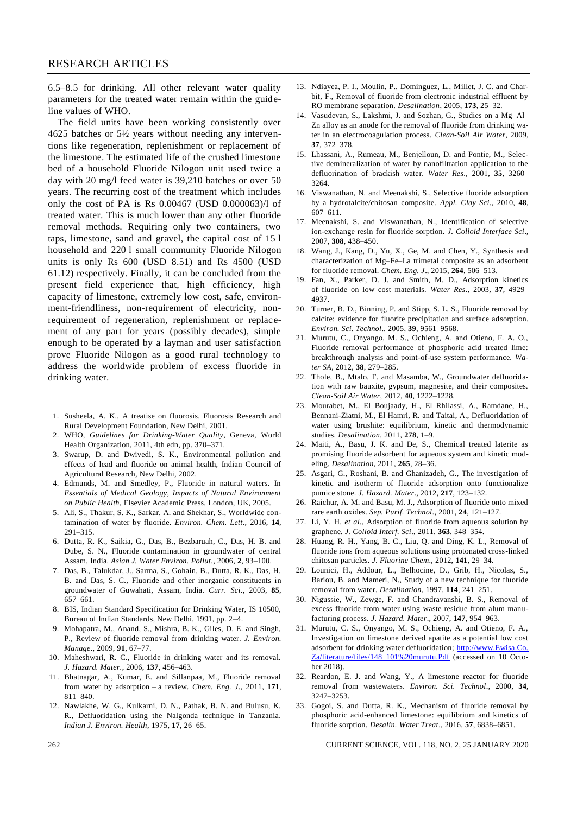6.5–8.5 for drinking. All other relevant water quality parameters for the treated water remain within the guideline values of WHO.

The field units have been working consistently over 4625 batches or 5½ years without needing any interventions like regeneration, replenishment or replacement of the limestone. The estimated life of the crushed limestone bed of a household Fluoride Nilogon unit used twice a day with 20 mg/l feed water is 39,210 batches or over 50 years. The recurring cost of the treatment which includes only the cost of PA is Rs 0.00467 (USD 0.000063)/l of treated water. This is much lower than any other fluoride removal methods. Requiring only two containers, two taps, limestone, sand and gravel, the capital cost of 15 l household and 220 l small community Fluoride Nilogon units is only Rs 600 (USD 8.51) and Rs 4500 (USD 61.12) respectively. Finally, it can be concluded from the present field experience that, high efficiency, high capacity of limestone, extremely low cost, safe, environment-friendliness, non-requirement of electricity, nonrequirement of regeneration, replenishment or replacement of any part for years (possibly decades), simple enough to be operated by a layman and user satisfaction prove Fluoride Nilogon as a good rural technology to address the worldwide problem of excess fluoride in drinking water.

- 1. Susheela, A. K., A treatise on fluorosis. Fluorosis Research and Rural Development Foundation, New Delhi, 2001.
- 2. WHO, *Guidelines for Drinking-Water Quality*, Geneva, World Health Organization, 2011, 4th edn, pp. 370–371.
- 3. Swarup, D. and Dwivedi, S. K., Environmental pollution and effects of lead and fluoride on animal health, Indian Council of Agricultural Research, New Delhi, 2002.
- 4. Edmunds, M. and Smedley, P., Fluoride in natural waters. In *Essentials of Medical Geology, Impacts of Natural Environment on Public Health*, Elsevier Academic Press, London, UK, 2005.
- 5. Ali, S., Thakur, S. K., Sarkar, A. and Shekhar, S., Worldwide contamination of water by fluoride. *Environ. Chem. Lett*., 2016, **14**, 291–315.
- 6. Dutta, R. K., Saikia, G., Das, B., Bezbaruah, C., Das, H. B. and Dube, S. N., Fluoride contamination in groundwater of central Assam, India. *Asian J. Water Environ. Pollut*., 2006, **2**, 93–100.
- 7. Das, B., Talukdar, J., Sarma, S., Gohain, B., Dutta, R. K., Das, H. B. and Das, S. C., Fluoride and other inorganic constituents in groundwater of Guwahati, Assam, India. *Curr. Sci.*, 2003, **85**, 657–661.
- 8. BIS, Indian Standard Specification for Drinking Water, IS 10500, Bureau of Indian Standards, New Delhi, 1991, pp. 2–4.
- 9. Mohapatra, M., Anand, S., Mishra, B. K., Giles, D. E. and Singh, P., Review of fluoride removal from drinking water. *J. Environ. Manage*., 2009, **91**, 67–77.
- 10. Maheshwari, R. C., Fluoride in drinking water and its removal. *J. Hazard. Mater.*, 2006, **137**, 456–463.
- 11. Bhatnagar, A., Kumar, E. and Sillanpaa, M., Fluoride removal from water by adsorption – a review. *Chem. Eng. J*., 2011, **171**, 811–840.
- 12. Nawlakhe, W. G., Kulkarni, D. N., Pathak, B. N. and Bulusu, K. R., Defluoridation using the Nalgonda technique in Tanzania. *Indian J. Environ. Health*, 1975, **17**, 26–65.
- 13. Ndiayea, P. I., Moulin, P., Dominguez, L., Millet, J. C. and Charbit, F., Removal of fluoride from electronic industrial effluent by RO membrane separation. *Desalination*, 2005, **173**, 25–32.
- 14. Vasudevan, S., Lakshmi, J. and Sozhan, G., Studies on a Mg–Al– Zn alloy as an anode for the removal of fluoride from drinking water in an electrocoagulation process. *Clean-Soil Air Water*, 2009, **37**, 372–378.
- 15. Lhassani, A., Rumeau, M., Benjelloun, D. and Pontie, M., Selective demineralization of water by nanofiltration application to the defluorination of brackish water. *Water Res*., 2001, **35**, 3260– 3264.
- 16. Viswanathan, N. and Meenakshi, S., Selective fluoride adsorption by a hydrotalcite/chitosan composite. *Appl. Clay Sci*., 2010, **48**, 607–611.
- 17. Meenakshi, S. and Viswanathan, N., Identification of selective ion-exchange resin for fluoride sorption. *J. Colloid Interface Sci*., 2007, **308**, 438–450.
- 18. Wang, J., Kang, D., Yu, X., Ge, M. and Chen, Y., Synthesis and characterization of Mg–Fe–La trimetal composite as an adsorbent for fluoride removal. *Chem. Eng. J*., 2015, **264**, 506–513.
- 19. Fan, X., Parker, D. J. and Smith, M. D., Adsorption kinetics of fluoride on low cost materials. *Water Res*., 2003, **37**, 4929– 4937.
- 20. Turner, B. D., Binning, P. and Stipp, S. L. S., Fluoride removal by calcite: evidence for fluorite precipitation and surface adsorption. *Environ. Sci. Technol*., 2005, **39**, 9561–9568.
- 21. Murutu, C., Onyango, M. S., Ochieng, A. and Otieno, F. A. O., Fluoride removal performance of phosphoric acid treated lime: breakthrough analysis and point-of-use system performance. *Water SA*, 2012, **38**, 279–285.
- 22. Thole, B., Mtalo, F. and Masamba, W., Groundwater defluoridation with raw bauxite, gypsum, magnesite, and their composites. *Clean-Soil Air Water,* 2012, **40**, 1222–1228.
- 23. Mourabet, M., El Boujaady, H., El Rhilassi, A., Ramdane, H., Bennani-Ziatni, M., El Hamri, R. and Taitai, A., Defluoridation of water using brushite: equilibrium, kinetic and thermodynamic studies. *Desalination*, 2011, **278**, 1–9.
- 24. Maiti, A., Basu, J. K. and De, S., Chemical treated laterite as promising fluoride adsorbent for aqueous system and kinetic modeling. *Desalination*, 2011, **265**, 28–36.
- 25. Asgari, G., Roshani, B. and Ghanizadeh, G., The investigation of kinetic and isotherm of fluoride adsorption onto functionalize pumice stone. *J. Hazard. Mater*., 2012, **217**, 123–132.
- 26. Raichur, A. M. and Basu, M. J., Adsorption of fluoride onto mixed rare earth oxides. *Sep. Purif. Technol*., 2001, **24**, 121–127.
- 27. Li, Y. H. *et al.*, Adsorption of fluoride from aqueous solution by graphene. *J. Colloid Interf. Sci*., 2011, **363**, 348–354.
- 28. Huang, R. H., Yang, B. C., Liu, Q. and Ding, K. L., Removal of fluoride ions from aqueous solutions using protonated cross-linked chitosan particles. *J. Fluorine Chem*., 2012, **141**, 29–34.
- 29. Lounici, H., Addour, L., Belhocine, D., Grib, H., Nicolas, S., Bariou, B. and Mameri, N., Study of a new technique for fluoride removal from water. *Desalination*, 1997, **114**, 241–251.
- 30. Nigussie, W., Zewge, F. and Chandravanshi, B. S., Removal of excess fluoride from water using waste residue from alum manufacturing process. *J. Hazard. Mater*., 2007, **147**, 954–963.
- 31. Murutu, C. S., Onyango, M. S., Ochieng, A. and Otieno, F. A., Investigation on limestone derived apatite as a potential low cost adsorbent for drinking water defluoridation; http://www.Ewisa.Co. Za/literature/files/148\_101%20murutu.Pdf (accessed on 10 October 2018).
- 32. Reardon, E. J. and Wang, Y., A limestone reactor for fluoride removal from wastewaters. *Environ. Sci. Technol*., 2000, **34**, 3247–3253.
- 33. Gogoi, S. and Dutta, R. K., Mechanism of fluoride removal by phosphoric acid-enhanced limestone: equilibrium and kinetics of fluoride sorption. *Desalin. Water Treat*., 2016, **57**, 6838–6851.